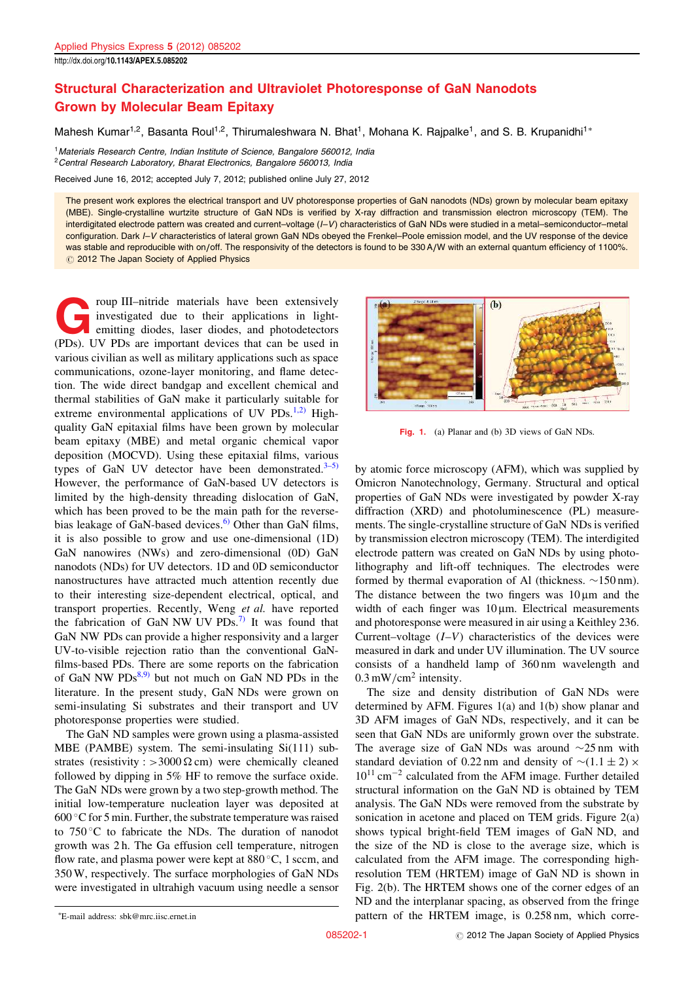## Structural Characterization and Ultraviolet Photoresponse of GaN Nanodots Grown by Molecular Beam Epitaxy

Mahesh Kumar<sup>1,2</sup>, Basanta Roul<sup>1,2</sup>, Thirumaleshwara N. Bhat<sup>1</sup>, Mohana K. Rajpalke<sup>1</sup>, and S. B. Krupanidhi<sup>1\*</sup>

<sup>1</sup> Materials Research Centre, Indian Institute of Science, Bangalore 560012, India <sup>2</sup> Central Research Laboratory, Bharat Electronics, Bangalore 560013, India

Received June 16, 2012; accepted July 7, 2012; published online July 27, 2012

The present work explores the electrical transport and UV photoresponse properties of GaN nanodots (NDs) grown by molecular beam epitaxy (MBE). Single-crystalline wurtzite structure of GaN NDs is verified by X-ray diffraction and transmission electron microscopy (TEM). The interdigitated electrode pattern was created and current–voltage (I–V) characteristics of GaN NDs were studied in a metal–semiconductor–metal configuration. Dark I–V characteristics of lateral grown GaN NDs obeyed the Frenkel–Poole emission model, and the UV response of the device was stable and reproducible with on/off. The responsivity of the detectors is found to be 330 A/W with an external quantum efficiency of 1100%.  $Q$  2012 The Japan Society of Applied Physics

Frankright and their applications in light-<br>investigated due to their applications in light-<br>emitting diodes, laser diodes, and photodetectors<br>(PDs). UV PDs are important devices that can be used in roup III–nitride materials have been extensively investigated due to their applications in lightemitting diodes, laser diodes, and photodetectors various civilian as well as military applications such as space communications, ozone-layer monitoring, and flame detection. The wide direct bandgap and excellent chemical and thermal stabilities of GaN make it particularly suitable for extreme environmental applications of UV PDs.<sup>1,2)</sup> Highquality GaN epitaxial films have been grown by molecular beam epitaxy (MBE) and metal organic chemical vapor deposition (MOCVD). Using these epitaxial films, various types of GaN UV detector have been demonstrated. $3-5$ ) However, the performance of GaN-based UV detectors is limited by the high-density threading dislocation of GaN, which has been proved to be the main path for the reversebias leakage of GaN-based devices.<sup>6)</sup> Other than GaN films, it is also possible to grow and use one-dimensional (1D) GaN nanowires (NWs) and zero-dimensional (0D) GaN nanodots (NDs) for UV detectors. 1D and 0D semiconductor nanostructures have attracted much attention recently due to their interesting size-dependent electrical, optical, and transport properties. Recently, Weng et al. have reported the fabrication of GaN NW UV PDs.<sup>7)</sup> It was found that GaN NW PDs can provide a higher responsivity and a larger UV-to-visible rejection ratio than the conventional GaNfilms-based PDs. There are some reports on the fabrication of GaN NW  $PDs^{8,9}$  but not much on GaN ND PDs in the literature. In the present study, GaN NDs were grown on semi-insulating Si substrates and their transport and UV photoresponse properties were studied.

The GaN ND samples were grown using a plasma-assisted MBE (PAMBE) system. The semi-insulating Si(111) substrates (resistivity : > 3000  $\Omega$  cm) were chemically cleaned followed by dipping in 5% HF to remove the surface oxide. The GaN NDs were grown by a two step-growth method. The initial low-temperature nucleation layer was deposited at 600 °C for 5 min. Further, the substrate temperature was raised to 750 C to fabricate the NDs. The duration of nanodot growth was 2 h. The Ga effusion cell temperature, nitrogen flow rate, and plasma power were kept at  $880^{\circ}$ C, 1 sccm, and 350 W, respectively. The surface morphologies of GaN NDs were investigated in ultrahigh vacuum using needle a sensor



Fig. 1. (a) Planar and (b) 3D views of GaN NDs.

by atomic force microscopy (AFM), which was supplied by Omicron Nanotechnology, Germany. Structural and optical properties of GaN NDs were investigated by powder X-ray diffraction (XRD) and photoluminescence (PL) measurements. The single-crystalline structure of GaN NDs is verified by transmission electron microscopy (TEM). The interdigited electrode pattern was created on GaN NDs by using photolithography and lift-off techniques. The electrodes were formed by thermal evaporation of Al (thickness.  $\sim$ 150 nm). The distance between the two fingers was  $10 \mu m$  and the width of each finger was  $10 \mu m$ . Electrical measurements and photoresponse were measured in air using a Keithley 236. Current–voltage  $(I-V)$  characteristics of the devices were measured in dark and under UV illumination. The UV source consists of a handheld lamp of 360 nm wavelength and  $0.3 \text{ mW/cm}^2$  intensity.

The size and density distribution of GaN NDs were determined by AFM. Figures 1(a) and 1(b) show planar and 3D AFM images of GaN NDs, respectively, and it can be seen that GaN NDs are uniformly grown over the substrate. The average size of GaN NDs was around  $\sim$ 25 nm with standard deviation of 0.22 nm and density of  $\sim$ (1.1  $\pm$  2)  $\times$  $10^{11}$  cm<sup>-2</sup> calculated from the AFM image. Further detailed structural information on the GaN ND is obtained by TEM analysis. The GaN NDs were removed from the substrate by sonication in acetone and placed on TEM grids. Figure 2(a) shows typical bright-field TEM images of GaN ND, and the size of the ND is close to the average size, which is calculated from the AFM image. The corresponding highresolution TEM (HRTEM) image of GaN ND is shown in Fig. 2(b). The HRTEM shows one of the corner edges of an ND and the interplanar spacing, as observed from the fringe pattern of the HRTEM image, is 0.258 nm, which corre-

E-mail address: sbk@mrc.iisc.ernet.in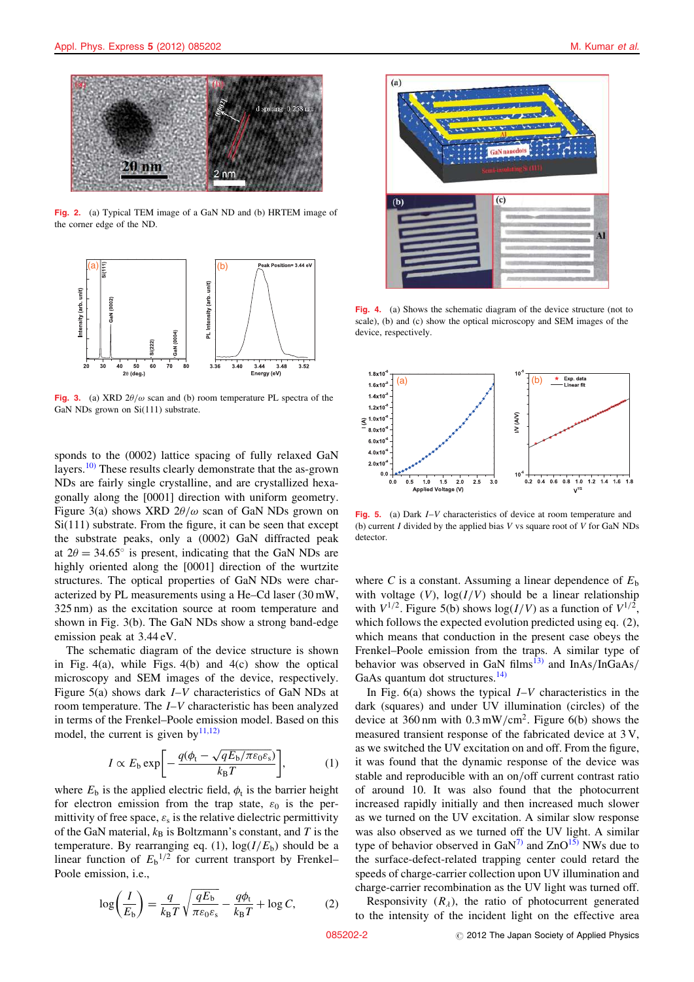

Fig. 2. (a) Typical TEM image of a GaN ND and (b) HRTEM image of the corner edge of the ND.



Fig. 3. (a) XRD  $2\theta/\omega$  scan and (b) room temperature PL spectra of the GaN NDs grown on Si(111) substrate.

sponds to the (0002) lattice spacing of fully relaxed GaN layers.10) These results clearly demonstrate that the as-grown NDs are fairly single crystalline, and are crystallized hexagonally along the [0001] direction with uniform geometry. Figure 3(a) shows XRD  $2\theta/\omega$  scan of GaN NDs grown on Si(111) substrate. From the figure, it can be seen that except the substrate peaks, only a (0002) GaN diffracted peak at  $2\theta = 34.65^{\circ}$  is present, indicating that the GaN NDs are highly oriented along the [0001] direction of the wurtzite structures. The optical properties of GaN NDs were characterized by PL measurements using a He–Cd laser (30 mW, 325 nm) as the excitation source at room temperature and shown in Fig. 3(b). The GaN NDs show a strong band-edge emission peak at 3.44 eV.

The schematic diagram of the device structure is shown in Fig.  $4(a)$ , while Figs.  $4(b)$  and  $4(c)$  show the optical microscopy and SEM images of the device, respectively. Figure 5(a) shows dark  $I-V$  characteristics of GaN NDs at room temperature. The I–V characteristic has been analyzed in terms of the Frenkel–Poole emission model. Based on this model, the current is given by  $(11,12)$ 

$$
I \propto E_{\rm b} \exp \bigg[ -\frac{q(\phi_{\rm t} - \sqrt{qE_{\rm b}/\pi\varepsilon_0\varepsilon_{\rm s}})}{k_{\rm B}T} \bigg],\tag{1}
$$

where  $E_b$  is the applied electric field,  $\phi_t$  is the barrier height for electron emission from the trap state,  $\varepsilon_0$  is the permittivity of free space,  $\varepsilon$ <sub>s</sub> is the relative dielectric permittivity of the GaN material,  $k_B$  is Boltzmann's constant, and T is the temperature. By rearranging eq. (1),  $log(I/E_b)$  should be a linear function of  $E_b$ <sup>1/2</sup> for current transport by Frenkel– Poole emission, i.e.,

$$
\log\left(\frac{I}{E_{\rm b}}\right) = \frac{q}{k_{\rm B}T} \sqrt{\frac{qE_{\rm b}}{\pi \varepsilon_0 \varepsilon_{\rm s}}} - \frac{q\phi_{\rm t}}{k_{\rm B}T} + \log C,\tag{2}
$$



Fig. 4. (a) Shows the schematic diagram of the device structure (not to scale), (b) and (c) show the optical microscopy and SEM images of the device, respectively.



Fig. 5. (a) Dark I–V characteristics of device at room temperature and (b) current  $I$  divided by the applied bias  $V$  vs square root of  $V$  for GaN NDs detector.

where C is a constant. Assuming a linear dependence of  $E<sub>b</sub>$ with voltage  $(V)$ ,  $log(I/V)$  should be a linear relationship with  $V^{1/2}$ . Figure 5(b) shows  $log(I/V)$  as a function of  $V^{1/2}$ , which follows the expected evolution predicted using eq.  $(2)$ , which means that conduction in the present case obeys the Frenkel–Poole emission from the traps. A similar type of behavior was observed in GaN films<sup>13)</sup> and  $InAs/InGaAs/$ GaAs quantum dot structures. $^{14)}$ 

In Fig.  $6(a)$  shows the typical  $I-V$  characteristics in the dark (squares) and under UV illumination (circles) of the device at 360 nm with  $0.3 \text{ mW/cm}^2$ . Figure 6(b) shows the measured transient response of the fabricated device at 3 V, as we switched the UV excitation on and off. From the figure, it was found that the dynamic response of the device was stable and reproducible with an on/off current contrast ratio of around 10. It was also found that the photocurrent increased rapidly initially and then increased much slower as we turned on the UV excitation. A similar slow response was also observed as we turned off the UV light. A similar type of behavior observed in  $\text{GaN}^{7}$  and  $\text{ZnO}^{15}$  NWs due to the surface-defect-related trapping center could retard the speeds of charge-carrier collection upon UV illumination and charge-carrier recombination as the UV light was turned off.

Responsivity  $(R_{\lambda})$ , the ratio of photocurrent generated to the intensity of the incident light on the effective area